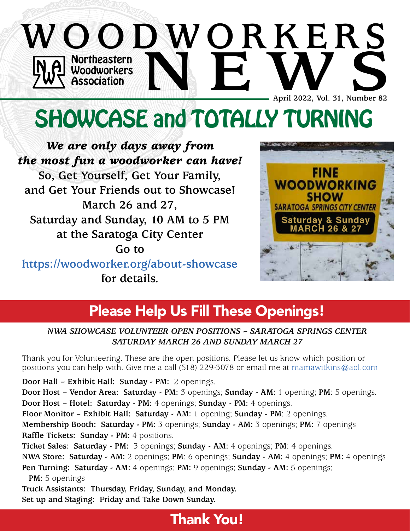# Northeastern Woodworkers Association **WOODWORKERS NO Northeastern**<br> **NO Woodworkers**<br> **NEW Association**<br> **NEW April 2022, Vol. 31, Number 82 April 2022, Vol. 31, Number 82**

# SHOWCASE and TOTALLY TURNING

*We are only days away from the most fun a woodworker can have!* **So, Get Yourself, Get Your Family, and Get Your Friends out to Showcase! March 26 and 27, Saturday and Sunday, 10 AM to 5 PM at the Saratoga City Center Go to**

**https:/[/woodworker.org/about-showcase](http://woodworker.org/about-showcase) for details.**



# Please Help Us Fill These Openings!

*NWA SHOWCASE VOLUNTEER OPEN POSITIONS – SARATOGA SPRINGS CENTER SATURDAY MARCH 26 AND SUNDAY MARCH 27*

Thank you for Volunteering. These are the open positions. Please let us know which position or positions you can help with. Give me a call (518) 229-3078 or email me at mamawitkins@aol.com

**Door Hall – Exhibit Hall: Sunday - PM:** 2 openings.

**Door Host – Vendor Area: Saturday - PM:** 3 openings; **Sunday - AM:** 1 opening; **PM**: 5 openings. **Door Host – Hotel: Saturday - PM:** 4 openings; **Sunday - PM:** 4 openings.

**Floor Monitor – Exhibit Hall: Saturday - AM:** 1 opening; **Sunday - PM**: 2 openings.

**Membership Booth: Saturday - PM:** 3 openings; **Sunday - AM:** 3 openings; **PM:** 7 openings **Raffle Tickets: Sunday - PM:** 4 positions.

**Ticket Sales: Saturday - PM:** 3 openings; **Sunday - AM:** 4 openings; **PM**: 4 openings.

**NWA Store: Saturday - AM:** 2 openings; **PM**: 6 openings; **Sunday - AM:** 4 openings; **PM:** 4 openings **Pen Turning: Saturday - AM:** 4 openings; **PM:** 9 openings; **Sunday - AM:** 5 openings;

**PM:** 5 openings

**Truck Assistants: Thursday, Friday, Sunday, and Monday. Set up and Staging: Friday and Take Down Sunday.**

# Thank You!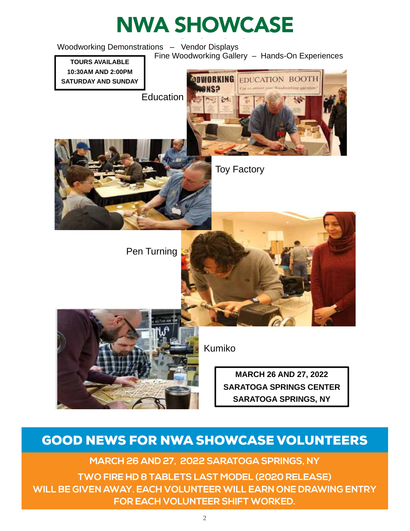

## GOOD NEWS FOR NWA SHOWCASE VOLUNTEERS

**MARCH 26 AND 27, 2022 SARATOGA SPRINGS, NY**

**TWO FIRE HD 8 TABLETS LAST MODEL (2020 RELEASE) WILL BE GIVEN AWAY. EACH VOLUNTEER WILL EARN ONE DRAWING ENTRY FOR EACH VOLUNTEER SHIFT WORKED.**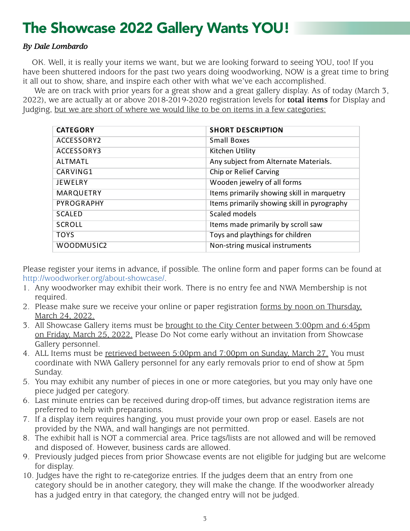### The Showcase 2022 Gallery Wants YOU! Showcase ZUZZ Gallery wants fou: **items** it

#### *By Dale Lombardo*  $\mathbf{y}$  , the past two two years doing two years doing working,  $\mathbf{y}$  $E$ *b*  $\alpha$  to  $\alpha$  bring  $\alpha$

OK. Well, it is really your items we want, but we are looking forward to seeing YOU, too! If you have been shuttered indoors for the past two years doing woodworking, NOW is a great time to bring it all out to show, share, and inspire each other with what we've each accomplished.

We are on track with prior years for a great show and a great gallery display. As of today (March 3, 2022), we are actually at or above 2018-2019-2020 registration levels for **total items** for Display and Judging, but we are short of where we would like to be on items in a few categories:

| <b>CATEGORY</b> | <b>SHORT DESCRIPTION</b>                    |
|-----------------|---------------------------------------------|
| ACCESSORY2      | Small Boxes                                 |
| ACCESSORY3      | Kitchen Utility                             |
| <b>ALTMATL</b>  | Any subject from Alternate Materials.       |
| CARVING1        | <b>Chip or Relief Carving</b>               |
| <b>JEWELRY</b>  | Wooden jewelry of all forms                 |
| MARQUETRY       | Items primarily showing skill in marquetry  |
| PYROGRAPHY      | Items primarily showing skill in pyrography |
| <b>SCALED</b>   | Scaled models                               |
| <b>SCROLL</b>   | Items made primarily by scroll saw          |
| <b>TOYS</b>     | Toys and playthings for children            |
| WOODMUSIC2      | Non-string musical instruments              |

Please register your items in advance, if possible. The online form and paper forms can be found at Please register your items in advance, if possible. The online form and paper forms can be http:/[/woodworker.org/about-showcase/.](http://woodworker.org/about-showcase/)

- 1. Any woodworker may exhibit their work. There is no entry fee and NWA Membership is not Any woodworker may exhibit their work. There is no entry fee and NWA Membership is required.
- 2. Please make sure we receive your online or paper registration forms by noon on Thursday, March 24, 2022. March 24, 2022.
- 3. All Showcase Gallery items must be <u>brought to the City Center between 3:00pm and 6:45pm</u> <u>on Friday, March 25, 2022.</u> Please Do Not come early without an invitation from Showcase Gallery personnel. Showcase Gallery personnel.
- 4. ALL Items must be <u>retrieved between 5:00pm and 7:00pm on Sunday, March 27.</u> You must coordinate with NWA Gallery personnel for any early removals prior to end of show at 5pm Sunday.  $\frac{1}{2}$   $\frac{1}{2}$   $\frac{1}{2}$   $\frac{1}{2}$   $\frac{1}{2}$   $\frac{1}{2}$   $\frac{1}{2}$   $\frac{1}{2}$   $\frac{1}{2}$   $\frac{1}{2}$   $\frac{1}{2}$   $\frac{1}{2}$   $\frac{1}{2}$   $\frac{1}{2}$   $\frac{1}{2}$   $\frac{1}{2}$   $\frac{1}{2}$   $\frac{1}{2}$   $\frac{1}{2}$   $\frac{1}{2}$   $\frac{1}{2}$   $\frac{1}{2}$
- 5. You may exhibit any number of pieces in one or more categories, but you may only have one piece judged per category. ay exhibit any number of pieces in one or more categories, but you may only have a per category.
- 6. Last minute entries can be received during drop-off times, but advance registration items are preferred to help with preparations. made entries can be received during drop-off times, but advance registration items a
- 7. If a display item requires hanging, you must provide your own prop or easel. Easels are not preferred to help with preparations. If a display item requires hanging, you must provide your own prop or easel. Easels are not provided by the NWA, and wall hangings are not permitted.
- provided by the NWA, and wan hangings are not permitted.<br>8. The exhibit hall is NOT a commercial area. Price tags/lists are not allowed and will be removed and disposed of. However, business cards are allowed.
- 9. Previously judged pieces from prior Showcase events are not eligible for judging but are welcome for display.
- 10. Judges have the right to re-categorize entries. If the judges deem that an entry from one category should be in another category, they will make the change. If the woodworker already has a judged entry in that category, the changed entry will not be judged.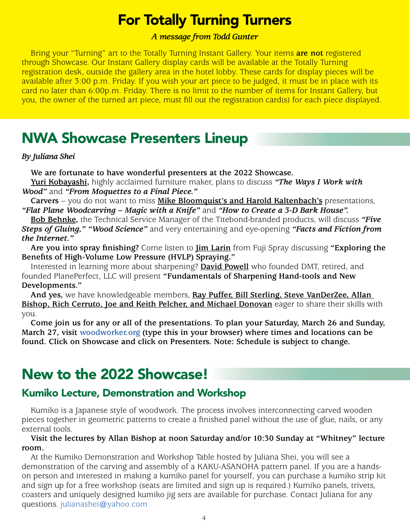# For Totally Turning Turners

### *A message from Todd Gunter*

Bring your "Turning" art to the Totally Turning Instant Gallery. Your items **are not** registered through Showcase. Our Instant Gallery display cards will be available at the Totally Turning registration desk, outside the gallery area in the hotel lobby. These cards for display pieces will be available after 3:00 p.m. Friday. If you wish your art piece to be judged, it must be in place with its card no later than 6:00p.m. Friday. There is no limit to the number of items for Instant Gallery, but you, the owner of the turned art piece, must fill out the registration card(s) for each piece displayed.

# NWA Showcase Presenters Lineup

### *By Juliana Shei*

**We are fortunate to have wonderful presenters at the 2022 Showcase.**

**Yuri Kobayashi,** highly acclaimed furniture maker, plans to discuss *"The Ways I Work with Wood"* and *"From Moquettes to a Final Piece."*

**Carvers** – you do not want to miss **Mike Bloomquist's and Harold Kaltenbach's** presentations, *"Flat Plane Woodcarving – Magic with a Knife"* and *"How to Create a 3-D Bark House".*

**Bob Behnke,** the Technical Service Manager of the Titebond-branded products, will discuss *"Five Steps of Gluing," "Wood Science"* and very entertaining and eye-opening *"Facts and Fiction from the Internet."*

**Are you into spray finishing?** Come listen to **Jim Larin** from Fuji Spray discussing **"Exploring the Benefits of High-Volume Low Pressure (HVLP) Spraying."**

Interested in learning more about sharpening? **David Powell** who founded DMT, retired, and founded PlanePerfect, LLC will present **"Fundamentals of Sharpening Hand-tools and New Developments."**

**And yes,** we have knowledgeable members, **Ray Puffer, Bill Sterling, Steve VanDerZee, Allan Bishop, Rich Cerruto, Joe and Keith Pelcher, and Michael Donovan** eager to share their skills with you.

**Come join us for any or all of the presentations. To plan your Saturday, March 26 and Sunday, March 27, visit [woodworker.org](http://woodworker.org) (type this in your browser) where times and locations can be found. Click on Showcase and click on Presenters. Note: Schedule is subject to change.** 

# New to the 2022 Showcase!

### Kumiko Lecture, Demonstration and Workshop

Kumiko is a Japanese style of woodwork. The process involves interconnecting carved wooden pieces together in geometric patterns to create a finished panel without the use of glue, nails, or any external tools.

**Visit the lectures by Allan Bishop at noon Saturday and/or 10:30 Sunday at "Whitney" lecture room.**

At the Kumiko Demonstration and Workshop Table hosted by Juliana Shei, you will see a demonstration of the carving and assembly of a KAKU-ASANOHA pattern panel. If you are a handson person and interested in making a kumiko panel for yourself, you can purchase a kumiko strip kit and sign up for a free workshop (seats are limited and sign up is required.) Kumiko panels, trivets, coasters and uniquely designed kumiko jig sets are available for purchase. Contact Juliana for any questions. julianashei@yahoo.com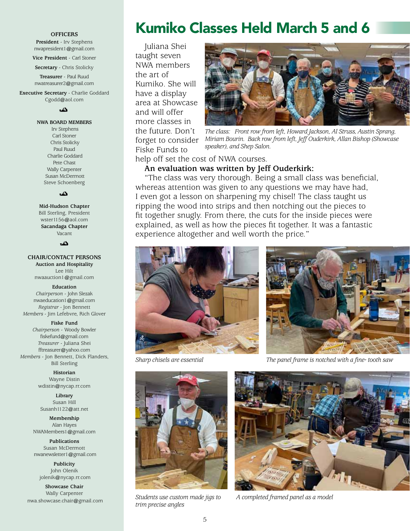#### **OFFICERS**

**President** - Irv Stephens nwapresident1@gmail.com

**Vice President** - Carl Stoner

**Secretary** - Chris Stolicky

**Treasurer** - Paul Ruud nwatreasurer2@gmail.com

**Executive Secretary** - Charlie Goddard Cgodd@aol.com

ئە

**NWA BOARD MEMBERS**

 Irv Stephens Carl Stoner Chris Stolicky Paul Ruud Charlie Goddard Pete Chast Wally Carpenter Susan McDermott Steve Schoenberg

دگ

**Mid-Hudson Chapter**  Bill Sterling, President wster1156@aol.com **Sacandaga Chapter** Vacant

دی۔

#### **CHAIR/CONTACT PERSONS**

**Auction and Hospitality** Lee Hilt nwaauction1@gmail.com

#### **Education**

*Chairperson* - John Slezak nwaeducation1@gmail.com *Registrar* - Jon Bennett *Members* - Jim Lefebvre, Rich Glover

#### **Fiske Fund**

*Chairperson* - Woody Bowler fiskefund@gmail.com *Treasurer* - Juliana Shei fftreasurer@yahoo.com *Members* - Jon Bennett, Dick Flanders, Bill Sterling

> **Historian** Wayne Distin wdistin@nycap.rr.com

**Library** Susan Hill Susanh1122@att.net

**Membership** Alan Hayes NWAMembers1@gmail.com

**Publications** Susan McDermott nwanewsletter1@gmail.com

**Publicity** John Olenik jolenik@nycap.rr.com

**Showcase Chair** Wally Carpenter

# Kumiko Classes Held March 5 and 6

Juliana Shei taught seven NWA members the art of Kumiko. She will have a display area at Showcase and will offer more classes in the future. Don't forget to consider Fiske Funds to



*The class: Front row from left, Howard Jackson, Al Struss, Austin Sprang, Miriam Bourin. Back row from left, Jeff Ouderkirk, Allan Bishop (Showcase speaker), and Shep Salon.*

help off set the cost of NWA courses.

**An evaluation was written by Jeff Ouderkirk:**

"The class was very thorough. Being a small class was beneficial, whereas attention was given to any questions we may have had, I even got a lesson on sharpening my chisel! The class taught us ripping the wood into strips and then notching out the pieces to fit together snugly. From there, the cuts for the inside pieces were explained, as well as how the pieces fit together. It was a fantastic experience altogether and well worth the price."





*Sharp chisels are essential The panel frame is notched with a fine- tooth saw*



nwa.showcase.chair@gmail.com **Students use custom made jigs to** A completed framed panel as a model *Students use custom made jigs to trim precise angles*

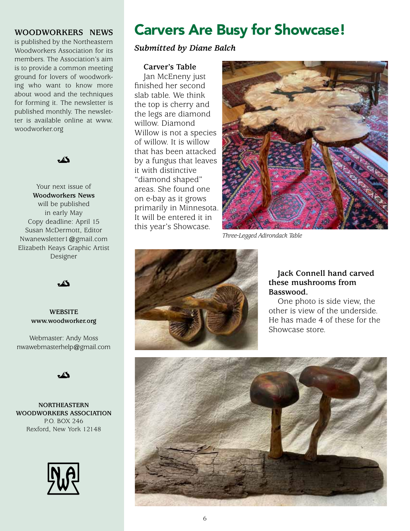### **WOODWORKERS NEWS**

is published by the Northeastern Woodworkers Association for its members. The Association's aim is to provide a common meeting ground for lovers of woodworking who want to know more about wood and the techniques for forming it. The newsletter is published monthly. The newsletter is available online at www. woodworker.org



Your next issue of **Woodworkers News** will be published in early May Copy deadline: April 15 Susan McDermott, Editor Nwanewsletter1@gmail.com Elizabeth Keays Graphic Artist Designer

ۮ

#### **WEBSITE www.woodworker.org**

Webmaster: Andy Moss nwawebmasterhelp@gmail.com

 $\mathbb{Z}$ 

**NORTHEASTERN WOODWORKERS ASSOCIATION** P.O. BOX 246 Rexford, New York 12148



# Carvers Are Busy for Showcase!

### *Submitted by Diane Balch*

#### **Carver's Table**

Jan McEneny just finished her second slab table. We think the top is cherry and the legs are diamond willow. Diamond Willow is not a species of willow. It is willow that has been attacked by a fungus that leaves it with distinctive "diamond shaped" areas. She found one on e-bay as it grows primarily in Minnesota. It will be entered it in this year's Showcase.



*Three-Legged Adirondack Table*



### **Jack Connell hand carved these mushrooms from Basswood.**

One photo is side view, the other is view of the underside. He has made 4 of these for the Showcase store.

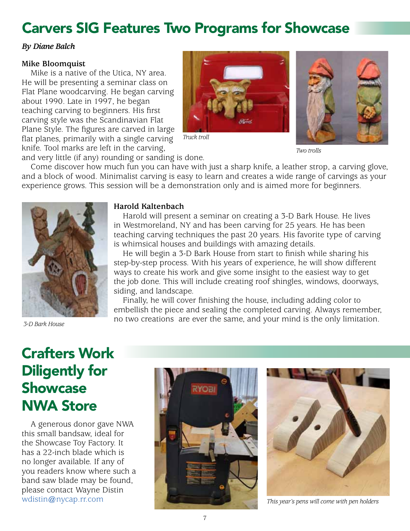# Carvers SIG Features Two Programs for Showcase

### *By Diane Balch*

### **Mike Bloomquist**

Mike is a native of the Utica, NY area. He will be presenting a seminar class on Flat Plane woodcarving. He began carving about 1990. Late in 1997, he began teaching carving to beginners. His first carving style was the Scandinavian Flat Plane Style. The figures are carved in large flat planes, primarily with a single carving knife. Tool marks are left in the carving,





*Two trolls*

and very little (if any) rounding or sanding is done.

Come discover how much fun you can have with just a sharp knife, a leather strop, a carving glove, and a block of wood. Minimalist carving is easy to learn and creates a wide range of carvings as your experience grows. This session will be a demonstration only and is aimed more for beginners.



*3-D Bark House*

### **Harold Kaltenbach**

Harold will present a seminar on creating a 3-D Bark House. He lives in Westmoreland, NY and has been carving for 25 years. He has been teaching carving techniques the past 20 years. His favorite type of carving is whimsical houses and buildings with amazing details.

He will begin a 3-D Bark House from start to finish while sharing his step-by-step process. With his years of experience, he will show different ways to create his work and give some insight to the easiest way to get the job done. This will include creating roof shingles, windows, doorways, siding, and landscape.

Finally, he will cover finishing the house, including adding color to embellish the piece and sealing the completed carving. Always remember, no two creations are ever the same, and your mind is the only limitation.

# Crafters Work Diligently for Showcase NWA Store

A generous donor gave NWA this small bandsaw, ideal for the Showcase Toy Factory. It has a 22-inch blade which is no longer available. If any of you readers know where such a band saw blade may be found, please contact Wayne Distin



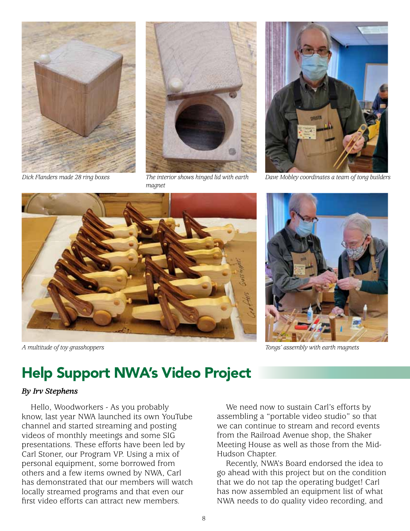

*Dick Flanders made 28 ring boxes*



*The interior shows hinged lid with earth magnet*



*Dave Mobley coordinates a team of tong builders*



*A multitude of toy grasshoppers*



*Tongs' assembly with earth magnets*

# Help Support NWA's Video Project

### *By Irv Stephens*

Hello, Woodworkers - As you probably know, last year NWA launched its own YouTube channel and started streaming and posting videos of monthly meetings and some SIG presentations. These efforts have been led by Carl Stoner, our Program VP. Using a mix of personal equipment, some borrowed from others and a few items owned by NWA, Carl has demonstrated that our members will watch locally streamed programs and that even our first video efforts can attract new members.

We need now to sustain Carl's efforts by assembling a "portable video studio" so that we can continue to stream and record events from the Railroad Avenue shop, the Shaker Meeting House as well as those from the Mid-Hudson Chapter.

Recently, NWA's Board endorsed the idea to go ahead with this project but on the condition that we do not tap the operating budget! Carl has now assembled an equipment list of what NWA needs to do quality video recording, and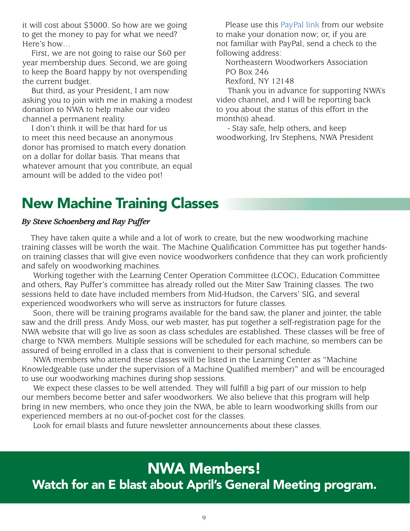it will cost about \$3000. So how are we going to get the money to pay for what we need? Here's how…

First, we are not going to raise our \$60 per year membership dues. Second, we are going to keep the Board happy by not overspending the current budget.

But third, as your President, I am now asking you to join with me in making a modest donation to NWA to help make our video channel a permanent reality.

I don't think it will be that hard for us to meet this need because an anonymous donor has promised to match every donation on a dollar for dollar basis. That means that whatever amount that you contribute, an equal amount will be added to the video pot!

Please use this [PayPal link](https://woodworker.org/epayment/) from our website to make your donation now; or, if you are not familiar with PayPal, send a check to the following address:

Northeastern Woodworkers Association PO Box 246

Rexford, NY 12148

 Thank you in advance for supporting NWA's video channel, and I will be reporting back to you about the status of this effort in the month(s) ahead.

 - Stay safe, help others, and keep woodworking, Irv Stephens, NWA President

# New Machine Training Classes

### *By Steve Schoenberg and Ray Puffer*

They have taken quite a while and a lot of work to create, but the new woodworking machine training classes will be worth the wait. The Machine Qualification Committee has put together handson training classes that will give even novice woodworkers confidence that they can work proficiently and safely on woodworking machines.

 Working together with the Learning Center Operation Committee (LCOC), Education Committee and others, Ray Puffer's committee has already rolled out the Miter Saw Training classes. The two sessions held to date have included members from Mid-Hudson, the Carvers' SIG, and several experienced woodworkers who will serve as instructors for future classes.

 Soon, there will be training programs available for the band saw, the planer and jointer, the table saw and the drill press. Andy Moss, our web master, has put together a self-registration page for the NWA website that will go live as soon as class schedules are established. These classes will be free of charge to NWA members. Multiple sessions will be scheduled for each machine, so members can be assured of being enrolled in a class that is convenient to their personal schedule.

 NWA members who attend these classes will be listed in the Learning Center as "Machine Knowledgeable (use under the supervision of a Machine Qualified member)" and will be encouraged to use our woodworking machines during shop sessions.

We expect these classes to be well attended. They will fulfill a big part of our mission to help our members become better and safer woodworkers. We also believe that this program will help bring in new members, who once they join the NWA, be able to learn woodworking skills from our experienced members at no out-of-pocket cost for the classes.

Look for email blasts and future newsletter announcements about these classes.

# NWA Members! Watch for an E blast about April's General Meeting program.